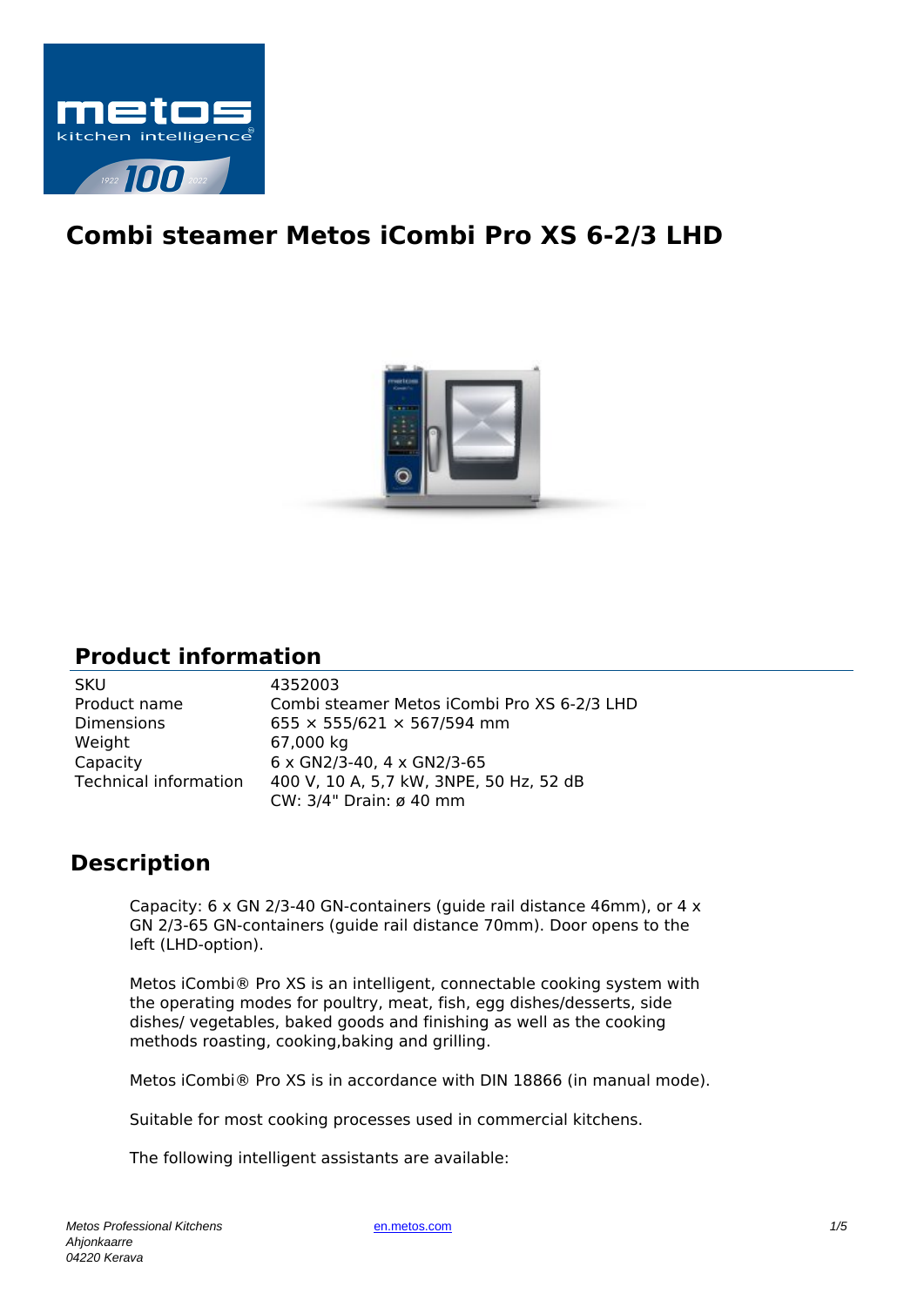

# **Combi steamer Metos iCombi Pro XS 6-2/3 LHD**



### **Product information**

| <b>SKU</b>            | 4352003                                     |
|-----------------------|---------------------------------------------|
| Product name          | Combi steamer Metos iCombi Pro XS 6-2/3 LHD |
| <b>Dimensions</b>     | $655 \times 555/621 \times 567/594$ mm      |
| Weight                | 67,000 kg                                   |
| Capacity              | $6 \times$ GN2/3-40, 4 $\times$ GN2/3-65    |
| Technical information | 400 V, 10 A, 5,7 kW, 3NPE, 50 Hz, 52 dB     |
|                       | CW: 3/4" Drain: ø 40 mm                     |

## **Description**

Capacity: 6 x GN 2/3-40 GN-containers (guide rail distance 46mm), or 4 x GN 2/3-65 GN-containers (guide rail distance 70mm). Door opens to the left (LHD-option).

Metos iCombi® Pro XS is an intelligent, connectable cooking system with the operating modes for poultry, meat, fish, egg dishes/desserts, side dishes/ vegetables, baked goods and finishing as well as the cooking methods roasting, cooking,baking and grilling.

Metos iCombi® Pro XS is in accordance with DIN 18866 (in manual mode).

Suitable for most cooking processes used in commercial kitchens.

The following intelligent assistants are available: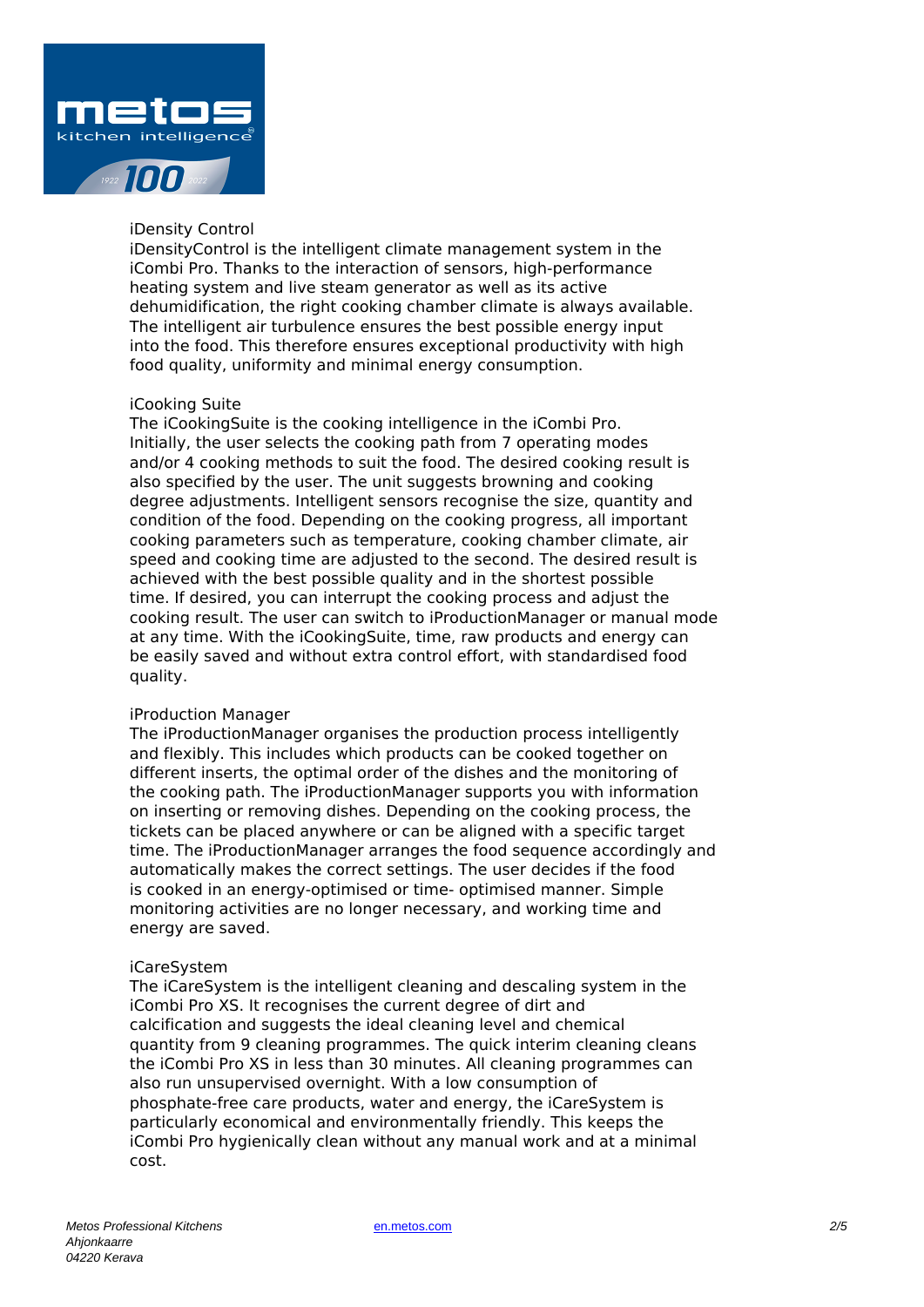

#### iDensity Control

iDensityControl is the intelligent climate management system in the iCombi Pro. Thanks to the interaction of sensors, high-performance heating system and live steam generator as well as its active dehumidification, the right cooking chamber climate is always available. The intelligent air turbulence ensures the best possible energy input into the food. This therefore ensures exceptional productivity with high food quality, uniformity and minimal energy consumption.

#### iCooking Suite

The iCookingSuite is the cooking intelligence in the iCombi Pro. Initially, the user selects the cooking path from 7 operating modes and/or 4 cooking methods to suit the food. The desired cooking result is also specified by the user. The unit suggests browning and cooking degree adjustments. Intelligent sensors recognise the size, quantity and condition of the food. Depending on the cooking progress, all important cooking parameters such as temperature, cooking chamber climate, air speed and cooking time are adjusted to the second. The desired result is achieved with the best possible quality and in the shortest possible time. If desired, you can interrupt the cooking process and adjust the cooking result. The user can switch to iProductionManager or manual mode at any time. With the iCookingSuite, time, raw products and energy can be easily saved and without extra control effort, with standardised food quality.

#### iProduction Manager

The iProductionManager organises the production process intelligently and flexibly. This includes which products can be cooked together on different inserts, the optimal order of the dishes and the monitoring of the cooking path. The iProductionManager supports you with information on inserting or removing dishes. Depending on the cooking process, the tickets can be placed anywhere or can be aligned with a specific target time. The iProductionManager arranges the food sequence accordingly and automatically makes the correct settings. The user decides if the food is cooked in an energy-optimised or time- optimised manner. Simple monitoring activities are no longer necessary, and working time and energy are saved.

#### iCareSystem

The iCareSystem is the intelligent cleaning and descaling system in the iCombi Pro XS. It recognises the current degree of dirt and calcification and suggests the ideal cleaning level and chemical quantity from 9 cleaning programmes. The quick interim cleaning cleans the iCombi Pro XS in less than 30 minutes. All cleaning programmes can also run unsupervised overnight. With a low consumption of phosphate-free care products, water and energy, the iCareSystem is particularly economical and environmentally friendly. This keeps the iCombi Pro hygienically clean without any manual work and at a minimal cost.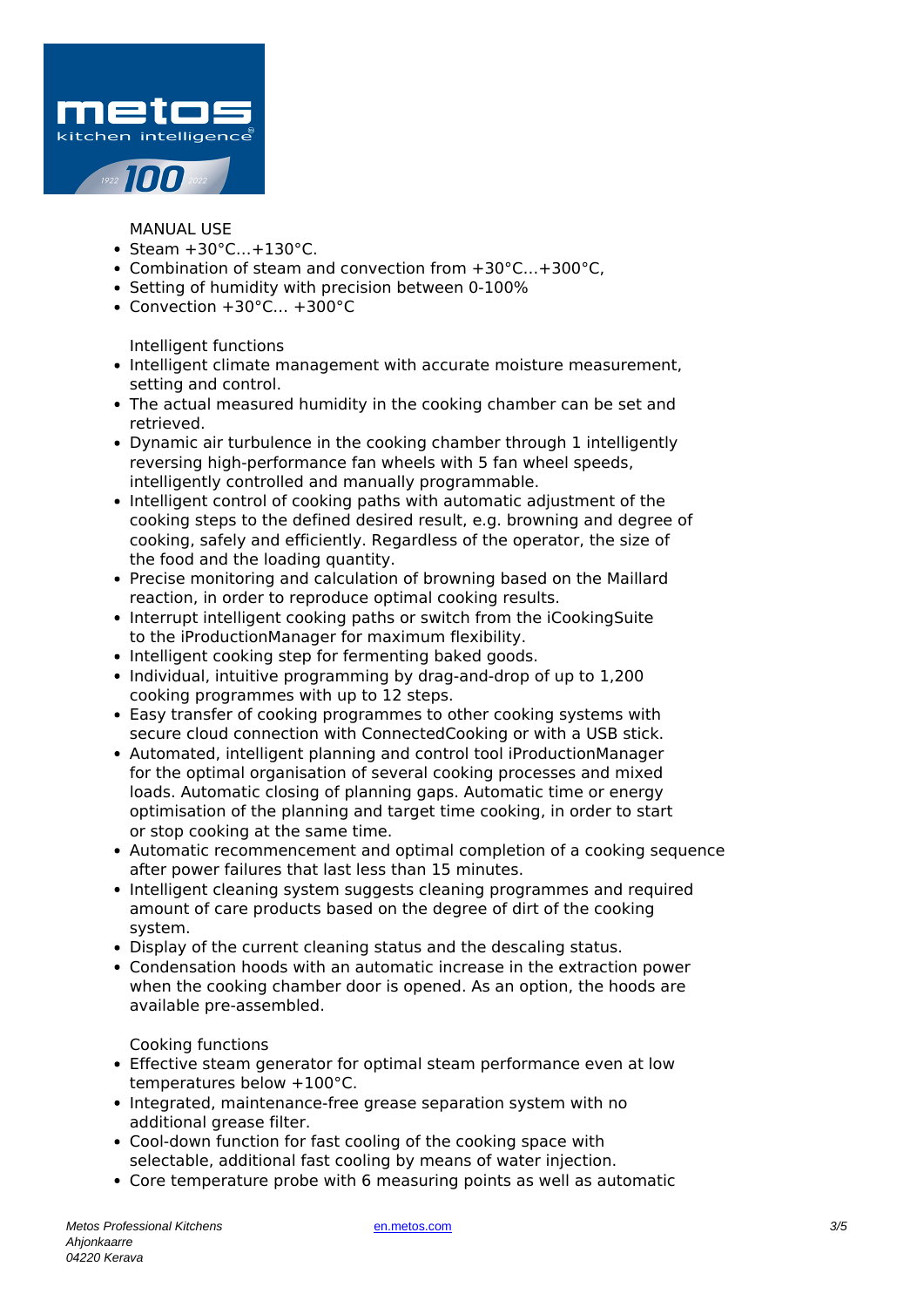

MANUAL USE

- $\bullet$  Steam  $+30^{\circ}$ C... $+130^{\circ}$ C.
- Combination of steam and convection from +30°C…+300°C,
- Setting of humidity with precision between 0-100%
- Convection +30°C… +300°C

Intelligent functions

- Intelligent climate management with accurate moisture measurement, setting and control.
- The actual measured humidity in the cooking chamber can be set and retrieved.
- Dynamic air turbulence in the cooking chamber through 1 intelligently reversing high-performance fan wheels with 5 fan wheel speeds, intelligently controlled and manually programmable.
- Intelligent control of cooking paths with automatic adjustment of the cooking steps to the defined desired result, e.g. browning and degree of cooking, safely and efficiently. Regardless of the operator, the size of the food and the loading quantity.
- Precise monitoring and calculation of browning based on the Maillard reaction, in order to reproduce optimal cooking results.
- Interrupt intelligent cooking paths or switch from the iCookingSuite to the iProductionManager for maximum flexibility.
- Intelligent cooking step for fermenting baked goods.
- Individual, intuitive programming by drag-and-drop of up to 1,200 cooking programmes with up to 12 steps.
- Easy transfer of cooking programmes to other cooking systems with secure cloud connection with ConnectedCooking or with a USB stick.
- Automated, intelligent planning and control tool iProductionManager for the optimal organisation of several cooking processes and mixed loads. Automatic closing of planning gaps. Automatic time or energy optimisation of the planning and target time cooking, in order to start or stop cooking at the same time.
- Automatic recommencement and optimal completion of a cooking sequence after power failures that last less than 15 minutes.
- Intelligent cleaning system suggests cleaning programmes and required amount of care products based on the degree of dirt of the cooking system.
- Display of the current cleaning status and the descaling status.
- Condensation hoods with an automatic increase in the extraction power when the cooking chamber door is opened. As an option, the hoods are available pre-assembled.

Cooking functions

- Effective steam generator for optimal steam performance even at low temperatures below +100°C.
- Integrated, maintenance-free grease separation system with no additional grease filter.
- Cool-down function for fast cooling of the cooking space with selectable, additional fast cooling by means of water injection.
- Core temperature probe with 6 measuring points as well as automatic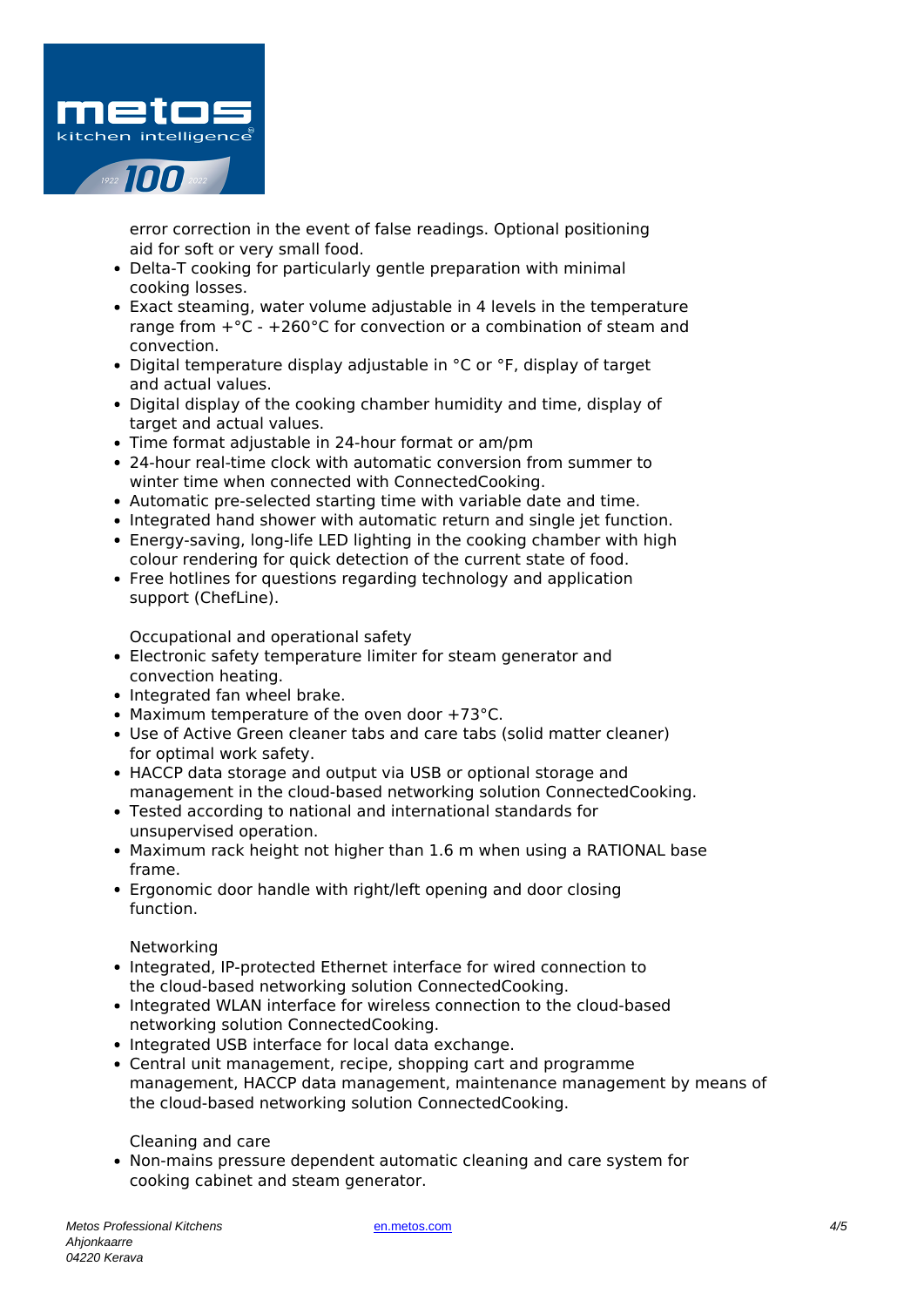

error correction in the event of false readings. Optional positioning aid for soft or very small food.

- Delta-T cooking for particularly gentle preparation with minimal cooking losses.
- Exact steaming, water volume adjustable in 4 levels in the temperature range from  $+°C - +260°C$  for convection or a combination of steam and convection.
- Digital temperature display adjustable in °C or °F, display of target and actual values.
- Digital display of the cooking chamber humidity and time, display of target and actual values.
- Time format adjustable in 24-hour format or am/pm
- 24-hour real-time clock with automatic conversion from summer to winter time when connected with ConnectedCooking.
- Automatic pre-selected starting time with variable date and time.
- Integrated hand shower with automatic return and single jet function.
- Energy-saving, long-life LED lighting in the cooking chamber with high colour rendering for quick detection of the current state of food.
- Free hotlines for questions regarding technology and application support (ChefLine).

Occupational and operational safety

- Electronic safety temperature limiter for steam generator and convection heating.
- Integrated fan wheel brake.
- Maximum temperature of the oven door +73°C.
- Use of Active Green cleaner tabs and care tabs (solid matter cleaner) for optimal work safety.
- HACCP data storage and output via USB or optional storage and management in the cloud-based networking solution ConnectedCooking.
- Tested according to national and international standards for unsupervised operation.
- Maximum rack height not higher than 1.6 m when using a RATIONAL base frame.
- Ergonomic door handle with right/left opening and door closing function.

Networking

- Integrated, IP-protected Ethernet interface for wired connection to the cloud-based networking solution ConnectedCooking.
- Integrated WLAN interface for wireless connection to the cloud-based networking solution ConnectedCooking.
- Integrated USB interface for local data exchange.
- Central unit management, recipe, shopping cart and programme management, HACCP data management, maintenance management by means of the cloud-based networking solution ConnectedCooking.

Cleaning and care

Non-mains pressure dependent automatic cleaning and care system for cooking cabinet and steam generator.